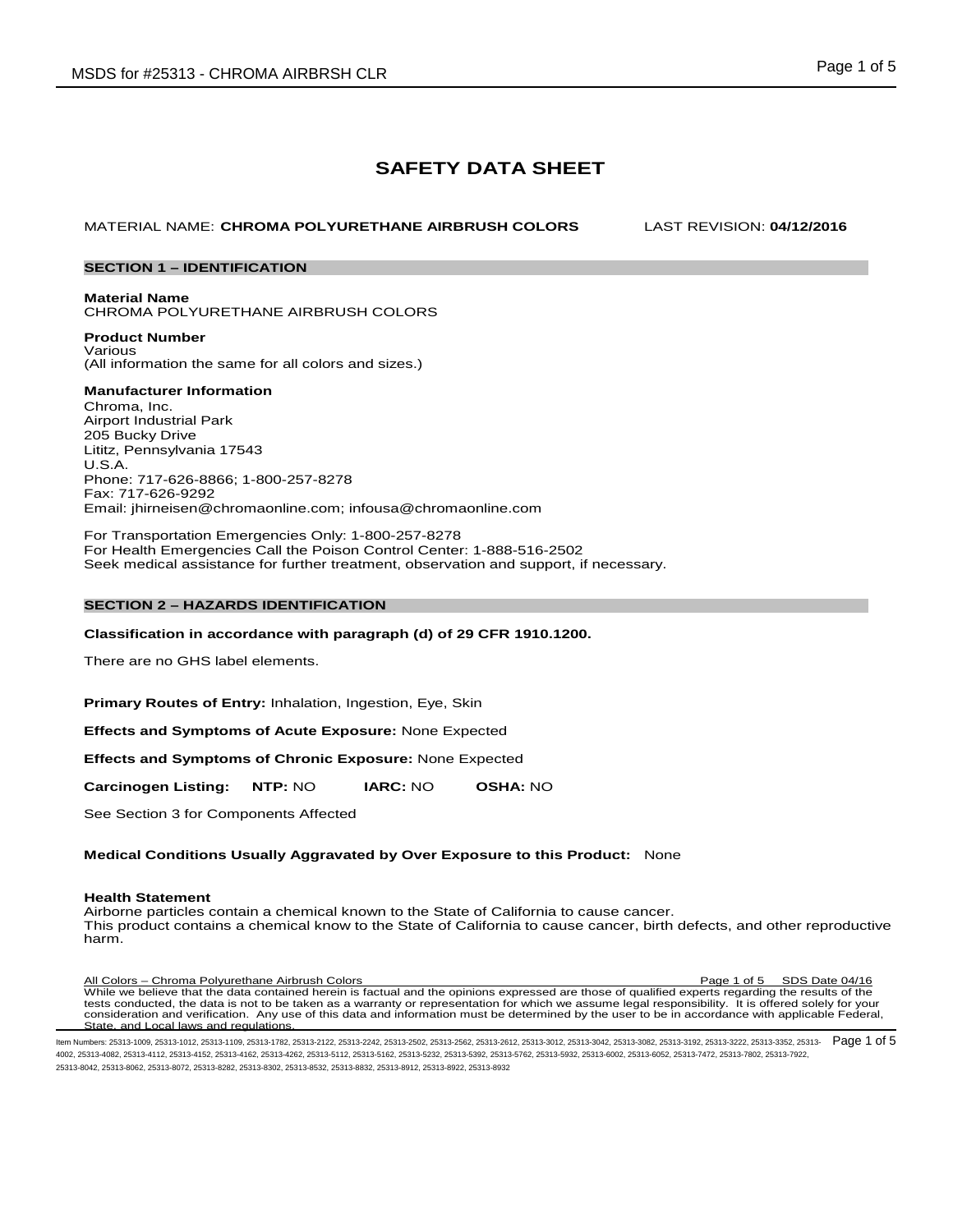# **SAFETY DATA SHEET**

MATERIAL NAME: **CHROMA POLYURETHANE AIRBRUSH COLORS** LAST REVISION: **04/12/2016**

# **SECTION 1 – IDENTIFICATION**

**Material Name** CHROMA POLYURETHANE AIRBRUSH COLORS

**Product Number** Various (All information the same for all colors and sizes.)

# **Manufacturer Information**

Chroma, Inc. Airport Industrial Park 205 Bucky Drive Lititz, Pennsylvania 17543 U.S.A. Phone: 717-626-8866; 1-800-257-8278 Fax: 717-626-9292 Email: jhirneisen@chromaonline.com; infousa@chromaonline.com

For Transportation Emergencies Only: 1-800-257-8278 For Health Emergencies Call the Poison Control Center: 1-888-516-2502 Seek medical assistance for further treatment, observation and support, if necessary.

# **SECTION 2 – HAZARDS IDENTIFICATION**

#### **Classification in accordance with paragraph (d) of 29 CFR 1910.1200.**

There are no GHS label elements.

**Primary Routes of Entry:** Inhalation, Ingestion, Eye, Skin

**Effects and Symptoms of Acute Exposure:** None Expected

**Effects and Symptoms of Chronic Exposure:** None Expected

**Carcinogen Listing: NTP:** NO **IARC:** NO **OSHA:** NO

See Section 3 for Components Affected

# **Medical Conditions Usually Aggravated by Over Exposure to this Product:** None

#### **Health Statement**

Airborne particles contain a chemical known to the State of California to cause cancer. This product contains a chemical know to the State of California to cause cancer, birth defects, and other reproductive harm.

All Colors – Chroma Polyurethane Airbrush Colors Page 1 of 5 SDS Date 04/16 While we believe that the data contained herein is factual and the opinions expressed are those of qualified experts regarding the results of the tests conducted, the data is not to be taken as a warranty or representation for which we assume legal responsibility. It is offered solely for your<br>consideration and verification. Any use of this data and information mus State, and Local laws and regulations.

ltem Numbers: 25313-1009, 25313-1112, 25313-1109, 25313-1782, 25313-2122, 25313-2242, 25313-2502, 25313-3642, 25313-3012, 25313-3042, 25313-3082, 25313-3082, 25313-3082, 25313-3082, 25313-3322, 25313-3322, 25313-3352, 2531 4002, 25313-4082, 25313-4112, 25313-4152, 25313-4162, 25313-4262, 25313-5112, 25313-5162, 25313-5232, 25313-5392, 25313-5762, 25313-5932, 25313-6002, 25313-6052, 25313-7472, 25313-7802, 25313-7922, 25313-8042, 25313-8062, 25313-8072, 25313-8282, 25313-8302, 25313-8532, 25313-8832, 25313-8912, 25313-8922, 25313-8932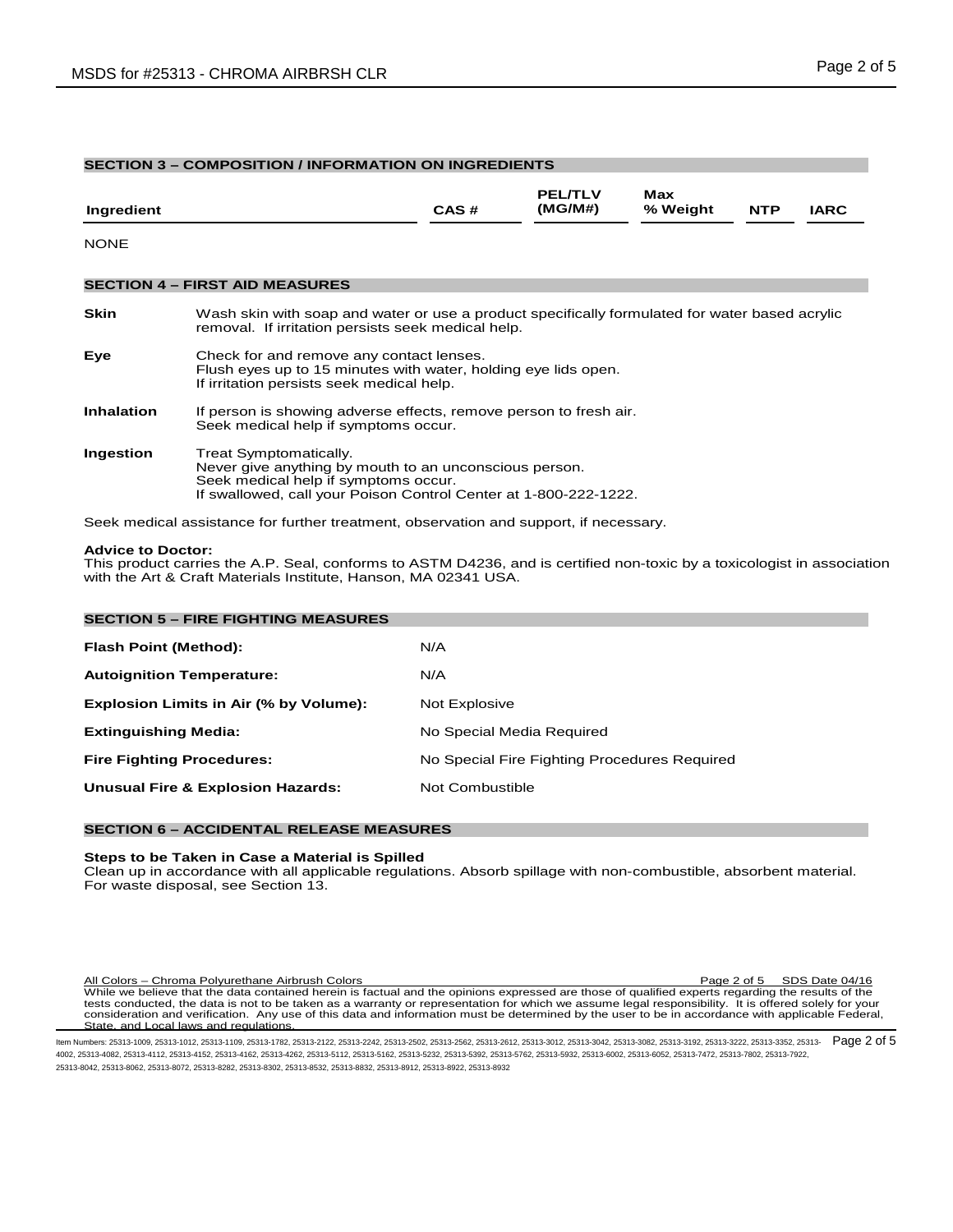| <b>SECTION 3 - COMPOSITION / INFORMATION ON INGREDIENTS</b> |                                                                                                                                                                                              |      |                           |                 |            |             |  |  |
|-------------------------------------------------------------|----------------------------------------------------------------------------------------------------------------------------------------------------------------------------------------------|------|---------------------------|-----------------|------------|-------------|--|--|
| Ingredient                                                  |                                                                                                                                                                                              | CAS# | <b>PEL/TLV</b><br>(MG/M#) | Max<br>% Weight | <b>NTP</b> | <b>IARC</b> |  |  |
| <b>NONE</b>                                                 |                                                                                                                                                                                              |      |                           |                 |            |             |  |  |
|                                                             | <b>SECTION 4 – FIRST AID MEASURES</b>                                                                                                                                                        |      |                           |                 |            |             |  |  |
| <b>Skin</b>                                                 | Wash skin with soap and water or use a product specifically formulated for water based acrylic<br>removal. If irritation persists seek medical help.                                         |      |                           |                 |            |             |  |  |
| Eye                                                         | Check for and remove any contact lenses.<br>Flush eyes up to 15 minutes with water, holding eye lids open.<br>If irritation persists seek medical help.                                      |      |                           |                 |            |             |  |  |
| <b>Inhalation</b>                                           | If person is showing adverse effects, remove person to fresh air.<br>Seek medical help if symptoms occur.                                                                                    |      |                           |                 |            |             |  |  |
| Ingestion                                                   | Treat Symptomatically.<br>Never give anything by mouth to an unconscious person.<br>Seek medical help if symptoms occur.<br>If swallowed, call your Poison Control Center at 1-800-222-1222. |      |                           |                 |            |             |  |  |

Seek medical assistance for further treatment, observation and support, if necessary.

#### **Advice to Doctor:**

This product carries the A.P. Seal, conforms to ASTM D4236, and is certified non-toxic by a toxicologist in association with the Art & Craft Materials Institute, Hanson, MA 02341 USA.

| <b>SECTION 5 - FIRE FIGHTING MEASURES</b>    |                                              |
|----------------------------------------------|----------------------------------------------|
| Flash Point (Method):                        | N/A                                          |
| <b>Autoignition Temperature:</b>             | N/A                                          |
| Explosion Limits in Air (% by Volume):       | Not Explosive                                |
| <b>Extinguishing Media:</b>                  | No Special Media Required                    |
| <b>Fire Fighting Procedures:</b>             | No Special Fire Fighting Procedures Required |
| <b>Unusual Fire &amp; Explosion Hazards:</b> | Not Combustible                              |

# **SECTION 6 – ACCIDENTAL RELEASE MEASURES**

## **Steps to be Taken in Case a Material is Spilled**

Clean up in accordance with all applicable regulations. Absorb spillage with non-combustible, absorbent material. For waste disposal, see Section 13.

All Colors – Chroma Polyurethane Airbrush Colors<br>While we believe that the data contained herein is factual and the opinions expressed are those of qualified experts regarding the results of the<br>While we believe that the d State, and Local laws and regulations.

ltem Numbers: 25313-1009, 25313-1112, 25313-1109, 25313-1782, 25313-2122, 25313-2242, 25313-2502, 25313-2562, 25313-3012, 25313-3012, 25313-3042, 25313-3082, 25313-3082, 25313-3082, 25313-3322, 25313-3322, 25313-3352, 2531 4002, 25313-4082, 25313-4112, 25313-4152, 25313-4162, 25313-4262, 25313-5112, 25313-5162, 25313-5232, 25313-5392, 25313-5762, 25313-5932, 25313-6002, 25313-6052, 25313-7472, 25313-7802, 25313-7922, 25313-8042, 25313-8062, 25313-8072, 25313-8282, 25313-8302, 25313-8532, 25313-8832, 25313-8912, 25313-8922, 25313-8932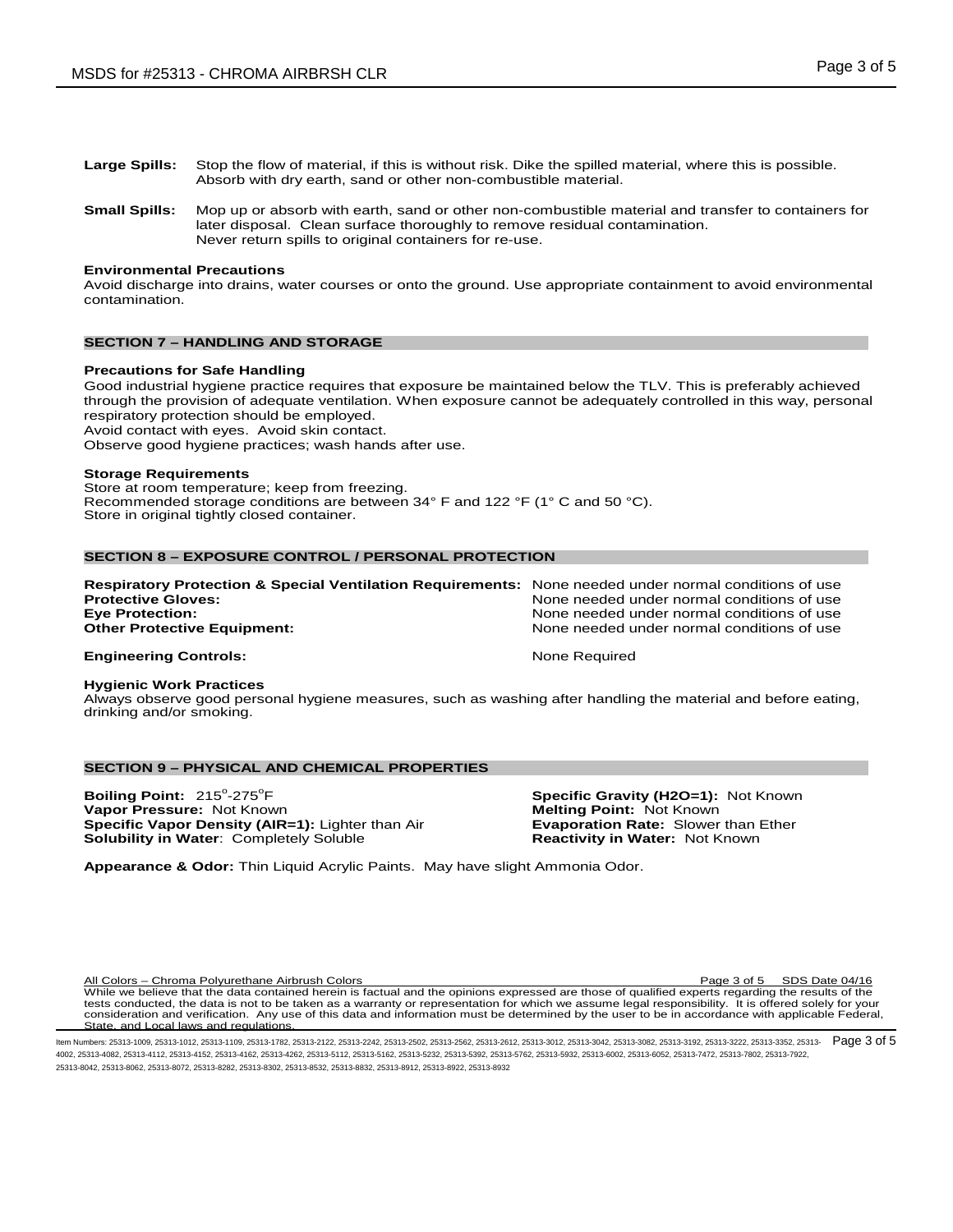- **Large Spills:** Stop the flow of material, if this is without risk. Dike the spilled material, where this is possible. Absorb with dry earth, sand or other non-combustible material.
- **Small Spills:** Mop up or absorb with earth, sand or other non-combustible material and transfer to containers for later disposal. Clean surface thoroughly to remove residual contamination. Never return spills to original containers for re-use.

#### **Environmental Precautions**

Avoid discharge into drains, water courses or onto the ground. Use appropriate containment to avoid environmental contamination.

# **SECTION 7 – HANDLING AND STORAGE**

#### **Precautions for Safe Handling**

Good industrial hygiene practice requires that exposure be maintained below the TLV. This is preferably achieved through the provision of adequate ventilation. When exposure cannot be adequately controlled in this way, personal respiratory protection should be employed. Avoid contact with eyes. Avoid skin contact.

Observe good hygiene practices; wash hands after use.

#### **Storage Requirements**

Store at room temperature; keep from freezing. Recommended storage conditions are between 34° F and 122 °F (1° C and 50 °C). Store in original tightly closed container.

# **SECTION 8 – EXPOSURE CONTROL / PERSONAL PROTECTION**

| <b>Respiratory Protection &amp; Special Ventilation Requirements:</b> None needed under normal conditions of use |                                            |
|------------------------------------------------------------------------------------------------------------------|--------------------------------------------|
| <b>Protective Gloves:</b>                                                                                        | None needed under normal conditions of use |
| <b>Eye Protection:</b>                                                                                           | None needed under normal conditions of use |
| <b>Other Protective Equipment:</b>                                                                               | None needed under normal conditions of use |
| <b>Engineering Controls:</b>                                                                                     | None Reauired                              |

# **Hygienic Work Practices**

Always observe good personal hygiene measures, such as washing after handling the material and before eating, drinking and/or smoking.

#### **SECTION 9 – PHYSICAL AND CHEMICAL PROPERTIES**

**Boiling Point:** 215°-275° **Vapor Pressure:** Not Known **Melting Point:** Not Known **Specific Vapor Density (AIR=1):** Lighter than Air **Melting Point: Not Known Specific Vapor Density (AIR=1):** Lighter than Air **Exaporation Rate:** Slower than Ether **Specific Vapor Density (AIR=1):** Lighter than Air **Evaporation Rate:** Slower than Explored Completely Soluble<br> **Solubility in Water**: Completely Soluble **Explore Frank Reactivity in Water:** Not Known **Solubility in Water: Completely Soluble** 

**Specific Gravity (H2O=1): Not Known Melting Point: Not Known** 

**Appearance & Odor:** Thin Liquid Acrylic Paints. May have slight Ammonia Odor.

All Colors – Chroma Polyurethane Airbrush Colors Page 3 of 5 SDS Date 04/16 While we believe that the data contained herein is factual and the opinions expressed are those of qualified experts regarding the results of the tests conducted, the data is not to be taken as a warranty or representation for which we assume legal responsibility. It is offered solely for your consideration and verification. Any use of this data and information must be determined by the user to be in accordance with applicable Federal, State, and Local laws and regulations.

ltem Numbers: 25313-1009, 25313-1112, 25313-1109, 25313-1782, 25313-2122, 25313-2242, 25313-2502, 25313-3612, 25313-3012, 25313-3042, 25313-3082, 25313-3082, 25313-3082, 25313-3082, 25313-3322, 25313-3322, 25313-3352, 2531 4002, 25313-4082, 25313-4112, 25313-4152, 25313-4162, 25313-4262, 25313-5112, 25313-5162, 25313-5232, 25313-5392, 25313-5762, 25313-5932, 25313-6002, 25313-6052, 25313-7472, 25313-7802, 25313-7922, 25313-8042, 25313-8062, 25313-8072, 25313-8282, 25313-8302, 25313-8532, 25313-8832, 25313-8912, 25313-8922, 25313-8932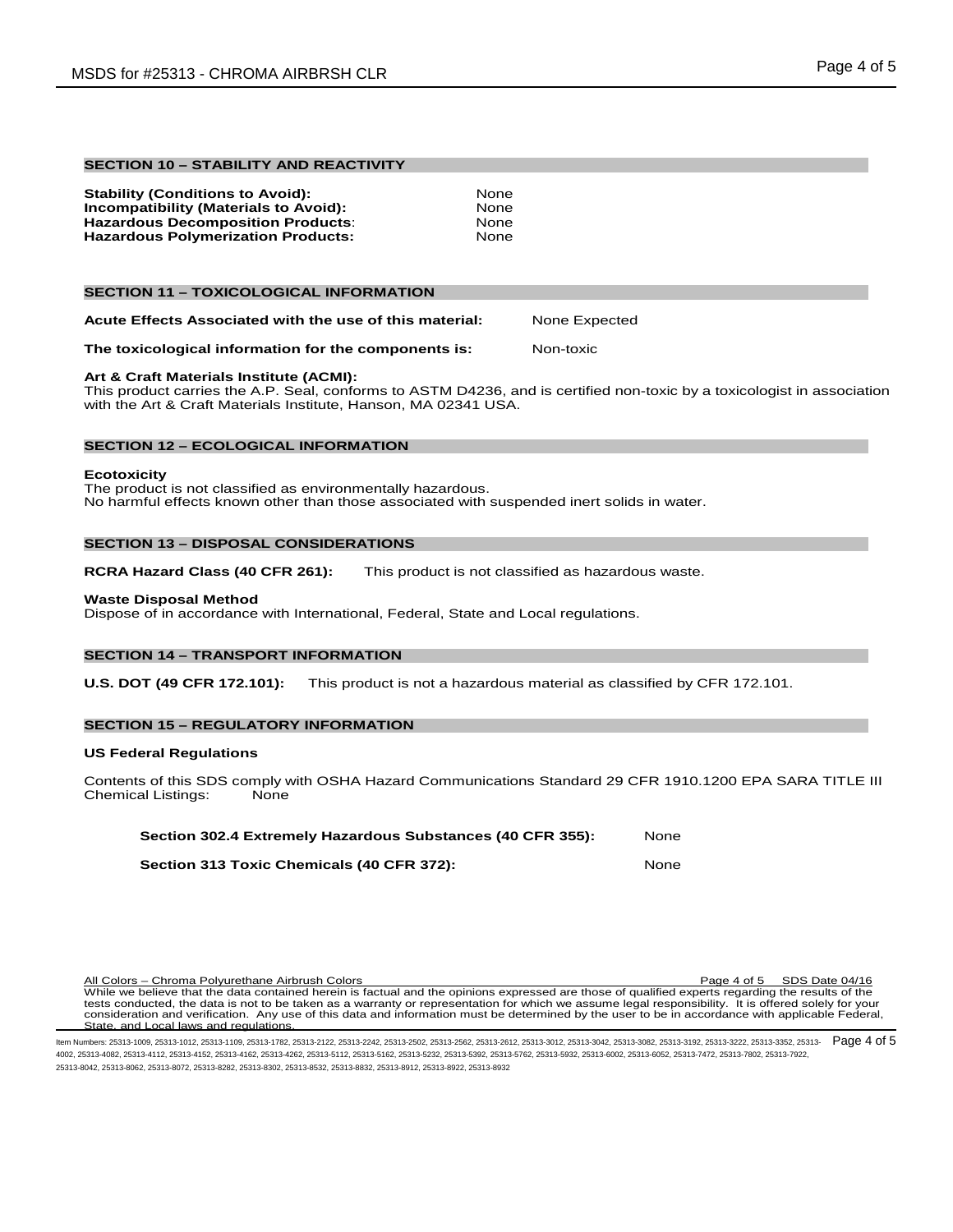# **SECTION 10 – STABILITY AND REACTIVITY**

| None |
|------|
| None |
| None |
| None |
|      |

# **SECTION 11 – TOXICOLOGICAL INFORMATION**

**Acute Effects Associated with the use of this material:** None Expected

**The toxicological information for the components is:** Non-toxic

# **Art & Craft Materials Institute (ACMI):**

This product carries the A.P. Seal, conforms to ASTM D4236, and is certified non-toxic by a toxicologist in association with the Art & Craft Materials Institute, Hanson, MA 02341 USA.

# **SECTION 12 – ECOLOGICAL INFORMATION**

#### **Ecotoxicity**

The product is not classified as environmentally hazardous. No harmful effects known other than those associated with suspended inert solids in water.

# **SECTION 13 – DISPOSAL CONSIDERATIONS**

**RCRA Hazard Class (40 CFR 261):** This product is not classified as hazardous waste.

#### **Waste Disposal Method**

Dispose of in accordance with International, Federal, State and Local regulations.

# **SECTION 14 – TRANSPORT INFORMATION**

**U.S. DOT (49 CFR 172.101):** This product is not a hazardous material as classified by CFR 172.101.

# **SECTION 15 – REGULATORY INFORMATION**

#### **US Federal Regulations**

Contents of this SDS comply with OSHA Hazard Communications Standard 29 CFR 1910.1200 EPA SARA TITLE III<br>Chemical Listings: None Chemical Listings:

| Section 302.4 Extremely Hazardous Substances (40 CFR 355): | None |
|------------------------------------------------------------|------|
| Section 313 Toxic Chemicals (40 CFR 372):                  | None |

All Colors – Chroma Polyurethane Airbrush Colors **Page 4 of 5 SDS Date 04/16** All Colors Page 4 of 5 SDS Date 04/16 While we believe that the data contained herein is factual and the opinions expressed are those of qualified experts regarding the results of the tests conducted, the data is not to be taken as a warranty or representation for which we assume legal responsibility. It is offered solely for your<br>consideration and verification. Any use of this data and information mus State, and Local laws and regulations.

ltem Numbers: 25313-1009, 25313-1112, 25313-1109, 25313-1782, 25313-2122, 25313-2242, 25313-2502, 25313-2562, 25313-3012, 25313-3012, 25313-3042, 25313-3082, 25313-3082, 25313-3082, 25313-3322, 25313-3322, 25313-3352, 2531 4002, 25313-4082, 25313-4112, 25313-4152, 25313-4162, 25313-4262, 25313-5112, 25313-5162, 25313-5232, 25313-5392, 25313-5762, 25313-5932, 25313-6002, 25313-6052, 25313-7472, 25313-7802, 25313-7922, 25313-8042, 25313-8062, 25313-8072, 25313-8282, 25313-8302, 25313-8532, 25313-8832, 25313-8912, 25313-8922, 25313-8932